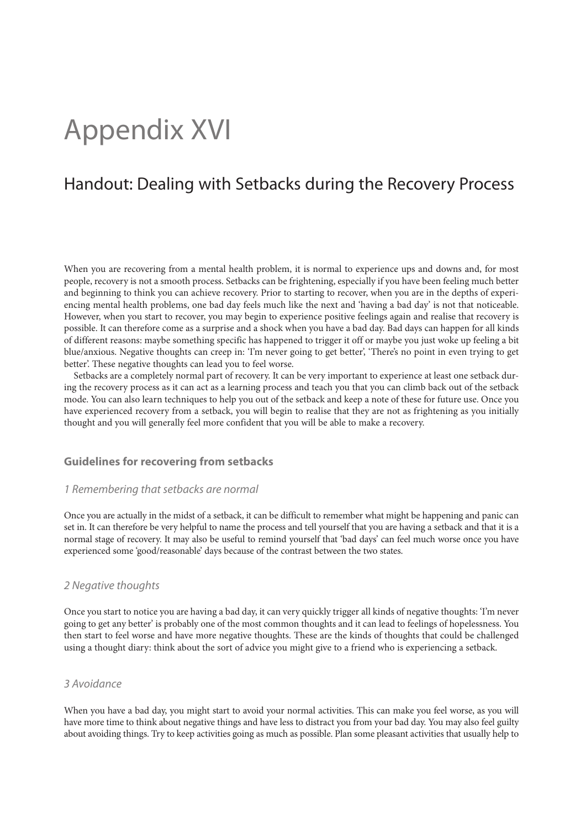# Appendix XVI

## Handout: Dealing with Setbacks during the Recovery Process

When you are recovering from a mental health problem, it is normal to experience ups and downs and, for most people, recovery is not a smooth process. Setbacks can be frightening, especially if you have been feeling much better and beginning to think you can achieve recovery. Prior to starting to recover, when you are in the depths of experiencing mental health problems, one bad day feels much like the next and 'having a bad day' is not that noticeable. However, when you start to recover, you may begin to experience positive feelings again and realise that recovery is possible. It can therefore come as a surprise and a shock when you have a bad day. Bad days can happen for all kinds of different reasons: maybe something specific has happened to trigger it off or maybe you just woke up feeling a bit blue/anxious. Negative thoughts can creep in: 'I'm never going to get better', 'There's no point in even trying to get better'. These negative thoughts can lead you to feel worse.

Setbacks are a completely normal part of recovery. It can be very important to experience at least one setback during the recovery process as it can act as a learning process and teach you that you can climb back out of the setback mode. You can also learn techniques to help you out of the setback and keep a note of these for future use. Once you have experienced recovery from a setback, you will begin to realise that they are not as frightening as you initially thought and you will generally feel more confident that you will be able to make a recovery.

#### **Guidelines for recovering from setbacks**

#### *1 Remembering that setbacks are normal*

Once you are actually in the midst of a setback, it can be difficult to remember what might be happening and panic can set in. It can therefore be very helpful to name the process and tell yourself that you are having a setback and that it is a normal stage of recovery. It may also be useful to remind yourself that 'bad days' can feel much worse once you have experienced some 'good/reasonable' days because of the contrast between the two states.

#### *2 Negative thoughts*

Once you start to notice you are having a bad day, it can very quickly trigger all kinds of negative thoughts: 'I'm never going to get any better' is probably one of the most common thoughts and it can lead to feelings of hopelessness. You then start to feel worse and have more negative thoughts. These are the kinds of thoughts that could be challenged using a thought diary: think about the sort of advice you might give to a friend who is experiencing a setback.

#### *3 Avoidance*

When you have a bad day, you might start to avoid your normal activities. This can make you feel worse, as you will have more time to think about negative things and have less to distract you from your bad day. You may also feel guilty about avoiding things. Try to keep activities going as much as possible. Plan some pleasant activities that usually help to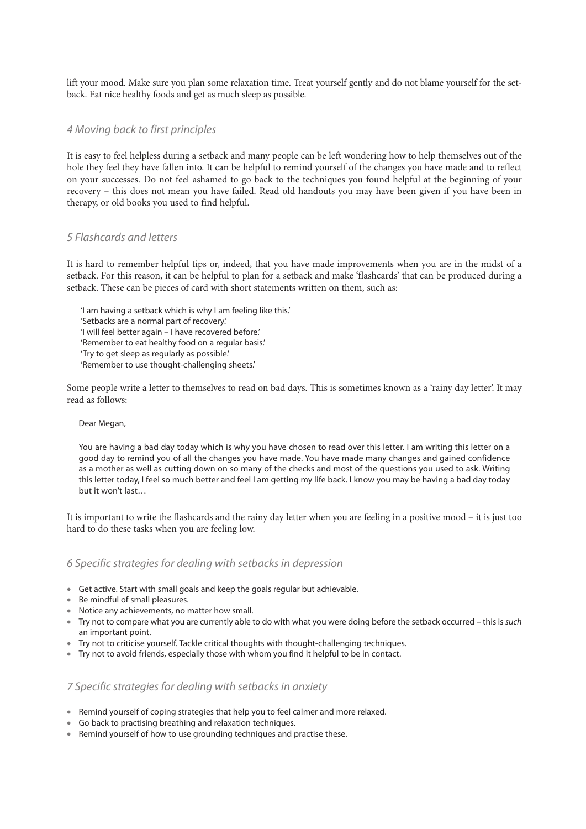lift your mood. Make sure you plan some relaxation time. Treat yourself gently and do not blame yourself for the setback. Eat nice healthy foods and get as much sleep as possible.

#### *4 Moving back to first principles*

It is easy to feel helpless during a setback and many people can be left wondering how to help themselves out of the hole they feel they have fallen into. It can be helpful to remind yourself of the changes you have made and to reflect on your successes. Do not feel ashamed to go back to the techniques you found helpful at the beginning of your recovery – this does not mean you have failed. Read old handouts you may have been given if you have been in therapy, or old books you used to find helpful.

#### *5 Flashcards and letters*

It is hard to remember helpful tips or, indeed, that you have made improvements when you are in the midst of a setback. For this reason, it can be helpful to plan for a setback and make 'flashcards' that can be produced during a setback. These can be pieces of card with short statements written on them, such as:

'I am having a setback which is why I am feeling like this.' 'Setbacks are a normal part of recovery.' 'I will feel better again – I have recovered before.' 'Remember to eat healthy food on a regular basis.' 'Try to get sleep as regularly as possible.' 'Remember to use thought-challenging sheets.'

Some people write a letter to themselves to read on bad days. This is sometimes known as a 'rainy day letter'. It may read as follows:

#### Dear Megan,

You are having a bad day today which is why you have chosen to read over this letter. I am writing this letter on a good day to remind you of all the changes you have made. You have made many changes and gained confidence as a mother as well as cutting down on so many of the checks and most of the questions you used to ask. Writing this letter today, I feel so much better and feel I am getting my life back. I know you may be having a bad day today but it won't last…

It is important to write the flashcards and the rainy day letter when you are feeling in a positive mood – it is just too hard to do these tasks when you are feeling low.

#### *6 Specific strategies for dealing with setbacks in depression*

- Get active. Start with small goals and keep the goals regular but achievable.
- Be mindful of small pleasures.
- Notice any achievements, no matter how small.
- Try not to compare what you are currently able to do with what you were doing before the setback occurred this is *such*  an important point.
- Try not to criticise yourself. Tackle critical thoughts with thought-challenging techniques.
- Try not to avoid friends, especially those with whom you find it helpful to be in contact.

#### *7 Specific strategies for dealing with setbacks in anxiety*

- Remind yourself of coping strategies that help you to feel calmer and more relaxed.
- Go back to practising breathing and relaxation techniques.
- Remind yourself of how to use grounding techniques and practise these.